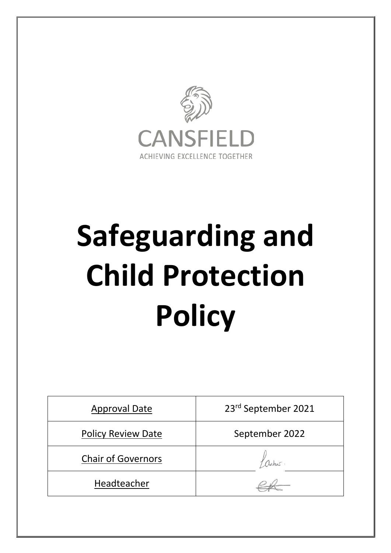

# **Safeguarding and Child Protection Policy**

| <b>Approval Date</b>      | 23rd September 2021 |
|---------------------------|---------------------|
| <b>Policy Review Date</b> | September 2022      |
| <b>Chair of Governors</b> |                     |
| Headteacher               |                     |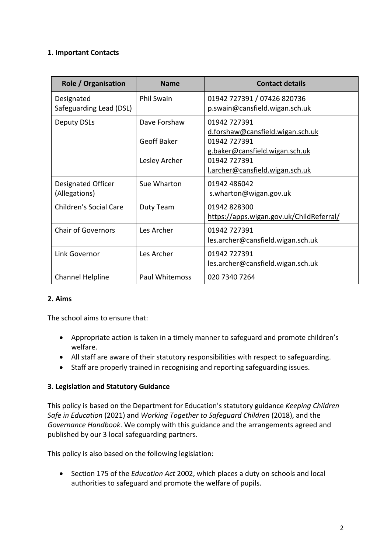## **1. Important Contacts**

| <b>Role / Organisation</b>            | <b>Name</b>                         | <b>Contact details</b>                                                                                   |
|---------------------------------------|-------------------------------------|----------------------------------------------------------------------------------------------------------|
| Designated<br>Safeguarding Lead (DSL) | <b>Phil Swain</b>                   | 01942 727391 / 07426 820736<br>p.swain@cansfield.wigan.sch.uk                                            |
| Deputy DSLs                           | Dave Forshaw                        | 01942 727391<br>d.forshaw@cansfield.wigan.sch.uk                                                         |
|                                       | <b>Geoff Baker</b><br>Lesley Archer | 01942 727391<br><u>g.baker@cansfield.wigan.sch.uk</u><br>01942 727391<br>l.archer@cansfield.wigan.sch.uk |
| Designated Officer<br>(Allegations)   | Sue Wharton                         | 01942 486042<br>s.wharton@wigan.gov.uk                                                                   |
| Children's Social Care                | Duty Team                           | 01942 828300<br>https://apps.wigan.gov.uk/ChildReferral/                                                 |
| <b>Chair of Governors</b>             | Les Archer                          | 01942 727391<br>les.archer@cansfield.wigan.sch.uk                                                        |
| Link Governor                         | Les Archer                          | 01942 727391<br>les.archer@cansfield.wigan.sch.uk                                                        |
| <b>Channel Helpline</b>               | Paul Whitemoss                      | 020 7340 7264                                                                                            |

## **2. Aims**

The school aims to ensure that:

- Appropriate action is taken in a timely manner to safeguard and promote children's welfare.
- All staff are aware of their statutory responsibilities with respect to safeguarding.
- Staff are properly trained in recognising and reporting safeguarding issues.

#### **3. Legislation and Statutory Guidance**

This policy is based on the Department for Education's statutory guidance *Keeping Children Safe in Education* (2021) and *Working Together to Safeguard Children* (2018), and the *Governance Handbook*. We comply with this guidance and the arrangements agreed and published by our 3 local safeguarding partners.

This policy is also based on the following legislation:

• Section 175 of the *Education Act* 2002, which places a duty on schools and local authorities to safeguard and promote the welfare of pupils.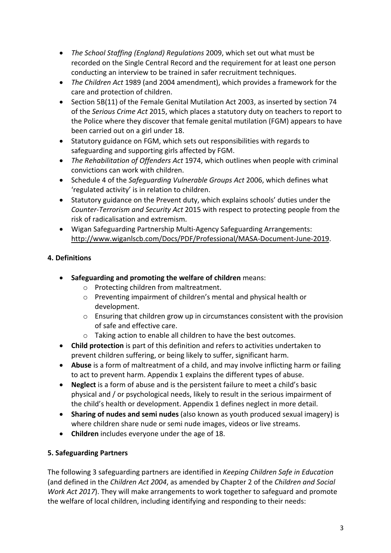- *The School Staffing (England) Regulations* 2009, which set out what must be recorded on the Single Central Record and the requirement for at least one person conducting an interview to be trained in safer recruitment techniques.
- *The Children Act* 1989 (and 2004 amendment), which provides a framework for the care and protection of children.
- Section 5B(11) of the Female Genital Mutilation Act 2003, as inserted by section 74 of the *Serious Crime Act* 2015, which places a statutory duty on teachers to report to the Police where they discover that female genital mutilation (FGM) appears to have been carried out on a girl under 18.
- Statutory guidance on FGM, which sets out responsibilities with regards to safeguarding and supporting girls affected by FGM.
- *The Rehabilitation of Offenders Act* 1974, which outlines when people with criminal convictions can work with children.
- Schedule 4 of the *Safeguarding Vulnerable Groups Act* 2006, which defines what 'regulated activity' is in relation to children.
- Statutory guidance on the Prevent duty, which explains schools' duties under the *Counter-Terrorism and Security Act* 2015 with respect to protecting people from the risk of radicalisation and extremism.
- Wigan Safeguarding Partnership Multi-Agency Safeguarding Arrangements: http://www.wiganlscb.com/Docs/PDF/Professional/MASA-Document-June-2019.

# **4. Definitions**

- **Safeguarding and promoting the welfare of children** means:
	- o Protecting children from maltreatment.
	- o Preventing impairment of children's mental and physical health or development.
	- o Ensuring that children grow up in circumstances consistent with the provision of safe and effective care.
	- o Taking action to enable all children to have the best outcomes.
- **Child protection** is part of this definition and refers to activities undertaken to prevent children suffering, or being likely to suffer, significant harm.
- **Abuse** is a form of maltreatment of a child, and may involve inflicting harm or failing to act to prevent harm. Appendix 1 explains the different types of abuse.
- **Neglect** is a form of abuse and is the persistent failure to meet a child's basic physical and / or psychological needs, likely to result in the serious impairment of the child's health or development. Appendix 1 defines neglect in more detail.
- **Sharing of nudes and semi nudes** (also known as youth produced sexual imagery) is where children share nude or semi nude images, videos or live streams.
- **Children** includes everyone under the age of 18.

# **5. Safeguarding Partners**

The following 3 safeguarding partners are identified in *Keeping Children Safe in Education* (and defined in the *Children Act 2004*, as amended by Chapter 2 of the *Children and Social Work Act 2017*). They will make arrangements to work together to safeguard and promote the welfare of local children, including identifying and responding to their needs: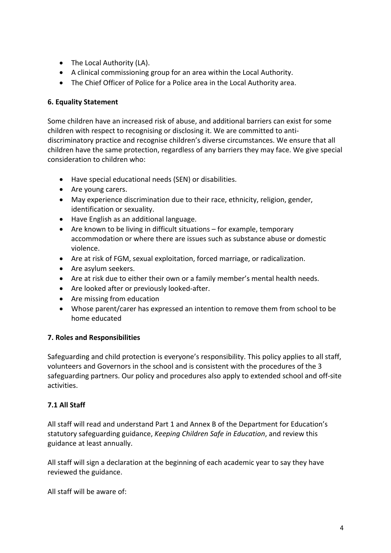- The Local Authority (LA).
- A clinical commissioning group for an area within the Local Authority.
- The Chief Officer of Police for a Police area in the Local Authority area.

## **6. Equality Statement**

Some children have an increased risk of abuse, and additional barriers can exist for some children with respect to recognising or disclosing it. We are committed to antidiscriminatory practice and recognise children's diverse circumstances. We ensure that all children have the same protection, regardless of any barriers they may face. We give special consideration to children who:

- Have special educational needs (SEN) or disabilities.
- Are young carers.
- May experience discrimination due to their race, ethnicity, religion, gender, identification or sexuality.
- Have English as an additional language.
- Are known to be living in difficult situations for example, temporary accommodation or where there are issues such as substance abuse or domestic violence.
- Are at risk of FGM, sexual exploitation, forced marriage, or radicalization.
- Are asylum seekers.
- Are at risk due to either their own or a family member's mental health needs.
- Are looked after or previously looked-after.
- Are missing from education
- Whose parent/carer has expressed an intention to remove them from school to be home educated

## **7. Roles and Responsibilities**

Safeguarding and child protection is everyone's responsibility. This policy applies to all staff, volunteers and Governors in the school and is consistent with the procedures of the 3 safeguarding partners. Our policy and procedures also apply to extended school and off-site activities.

## **7.1 All Staff**

All staff will read and understand Part 1 and Annex B of the Department for Education's statutory safeguarding guidance, *Keeping Children Safe in Education*, and review this guidance at least annually.

All staff will sign a declaration at the beginning of each academic year to say they have reviewed the guidance.

All staff will be aware of: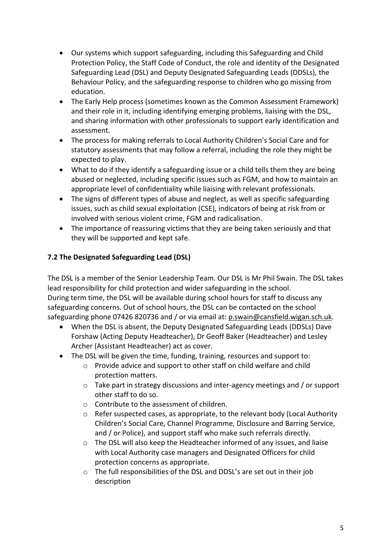- Our systems which support safeguarding, including this Safeguarding and Child Protection Policy, the Staff Code of Conduct, the role and identity of the Designated Safeguarding Lead (DSL) and Deputy Designated Safeguarding Leads (DDSLs), the Behaviour Policy, and the safeguarding response to children who go missing from education.
- The Early Help process (sometimes known as the Common Assessment Framework) and their role in it, including identifying emerging problems, liaising with the DSL, and sharing information with other professionals to support early identification and assessment.
- The process for making referrals to Local Authority Children's Social Care and for statutory assessments that may follow a referral, including the role they might be expected to play.
- What to do if they identify a safeguarding issue or a child tells them they are being abused or neglected, including specific issues such as FGM, and how to maintain an appropriate level of confidentiality while liaising with relevant professionals.
- The signs of different types of abuse and neglect, as well as specific safeguarding issues, such as child sexual exploitation (CSE), indicators of being at risk from or involved with serious violent crime, FGM and radicalisation.
- The importance of reassuring victims that they are being taken seriously and that they will be supported and kept safe.

# **7.2 The Designated Safeguarding Lead (DSL)**

The DSL is a member of the Senior Leadership Team. Our DSL is Mr Phil Swain. The DSL takes lead responsibility for child protection and wider safeguarding in the school. During term time, the DSL will be available during school hours for staff to discuss any safeguarding concerns. Out of school hours, the DSL can be contacted on the school safeguarding phone 07426 820736 and / or via email at: p.swain@cansfield.wigan.sch.uk.

- When the DSL is absent, the Deputy Designated Safeguarding Leads (DDSLs) Dave Forshaw (Acting Deputy Headteacher), Dr Geoff Baker (Headteacher) and Lesley Archer (Assistant Headteacher) act as cover.
- The DSL will be given the time, funding, training, resources and support to:
	- o Provide advice and support to other staff on child welfare and child protection matters.
	- o Take part in strategy discussions and inter-agency meetings and / or support other staff to do so.
	- o Contribute to the assessment of children.
	- o Refer suspected cases, as appropriate, to the relevant body (Local Authority Children's Social Care, Channel Programme, Disclosure and Barring Service, and / or Police), and support staff who make such referrals directly.
	- o The DSL will also keep the Headteacher informed of any issues, and liaise with Local Authority case managers and Designated Officers for child protection concerns as appropriate.
	- o The full responsibilities of the DSL and DDSL's are set out in their job description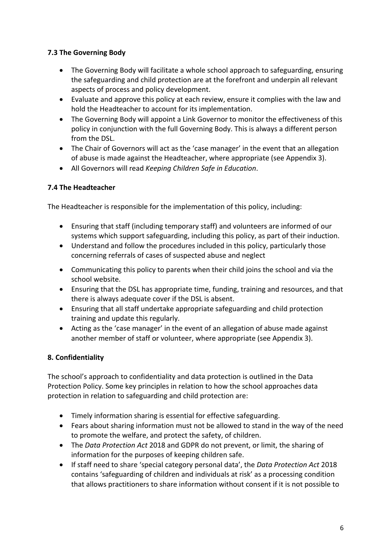## **7.3 The Governing Body**

- The Governing Body will facilitate a whole school approach to safeguarding, ensuring the safeguarding and child protection are at the forefront and underpin all relevant aspects of process and policy development.
- Evaluate and approve this policy at each review, ensure it complies with the law and hold the Headteacher to account for its implementation.
- The Governing Body will appoint a Link Governor to monitor the effectiveness of this policy in conjunction with the full Governing Body. This is always a different person from the DSL.
- The Chair of Governors will act as the 'case manager' in the event that an allegation of abuse is made against the Headteacher, where appropriate (see Appendix 3).
- All Governors will read *Keeping Children Safe in Education*.

## **7.4 The Headteacher**

The Headteacher is responsible for the implementation of this policy, including:

- Ensuring that staff (including temporary staff) and volunteers are informed of our systems which support safeguarding, including this policy, as part of their induction.
- Understand and follow the procedures included in this policy, particularly those concerning referrals of cases of suspected abuse and neglect
- Communicating this policy to parents when their child joins the school and via the school website.
- Ensuring that the DSL has appropriate time, funding, training and resources, and that there is always adequate cover if the DSL is absent.
- Ensuring that all staff undertake appropriate safeguarding and child protection training and update this regularly.
- Acting as the 'case manager' in the event of an allegation of abuse made against another member of staff or volunteer, where appropriate (see Appendix 3).

# **8. Confidentiality**

The school's approach to confidentiality and data protection is outlined in the Data Protection Policy. Some key principles in relation to how the school approaches data protection in relation to safeguarding and child protection are:

- Timely information sharing is essential for effective safeguarding.
- Fears about sharing information must not be allowed to stand in the way of the need to promote the welfare, and protect the safety, of children.
- The *Data Protection Act* 2018 and GDPR do not prevent, or limit, the sharing of information for the purposes of keeping children safe.
- If staff need to share 'special category personal data', the *Data Protection Act* 2018 contains 'safeguarding of children and individuals at risk' as a processing condition that allows practitioners to share information without consent if it is not possible to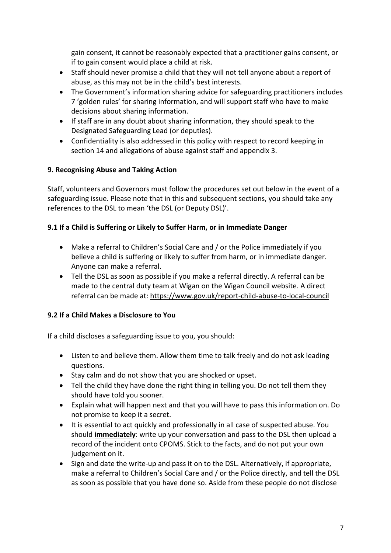gain consent, it cannot be reasonably expected that a practitioner gains consent, or if to gain consent would place a child at risk.

- Staff should never promise a child that they will not tell anyone about a report of abuse, as this may not be in the child's best interests.
- The Government's information sharing advice for safeguarding practitioners includes 7 'golden rules' for sharing information, and will support staff who have to make decisions about sharing information.
- If staff are in any doubt about sharing information, they should speak to the Designated Safeguarding Lead (or deputies).
- Confidentiality is also addressed in this policy with respect to record keeping in section 14 and allegations of abuse against staff and appendix 3.

## **9. Recognising Abuse and Taking Action**

Staff, volunteers and Governors must follow the procedures set out below in the event of a safeguarding issue. Please note that in this and subsequent sections, you should take any references to the DSL to mean 'the DSL (or Deputy DSL)'.

## **9.1 If a Child is Suffering or Likely to Suffer Harm, or in Immediate Danger**

- Make a referral to Children's Social Care and / or the Police immediately if you believe a child is suffering or likely to suffer from harm, or in immediate danger. Anyone can make a referral.
- Tell the DSL as soon as possible if you make a referral directly. A referral can be made to the central duty team at Wigan on the Wigan Council website. A direct referral can be made at: https://www.gov.uk/report-child-abuse-to-local-council

# **9.2 If a Child Makes a Disclosure to You**

If a child discloses a safeguarding issue to you, you should:

- Listen to and believe them. Allow them time to talk freely and do not ask leading questions.
- Stay calm and do not show that you are shocked or upset.
- Tell the child they have done the right thing in telling you. Do not tell them they should have told you sooner.
- Explain what will happen next and that you will have to pass this information on. Do not promise to keep it a secret.
- It is essential to act quickly and professionally in all case of suspected abuse. You should **immediately**: write up your conversation and pass to the DSL then upload a record of the incident onto CPOMS. Stick to the facts, and do not put your own judgement on it.
- Sign and date the write-up and pass it on to the DSL. Alternatively, if appropriate, make a referral to Children's Social Care and / or the Police directly, and tell the DSL as soon as possible that you have done so. Aside from these people do not disclose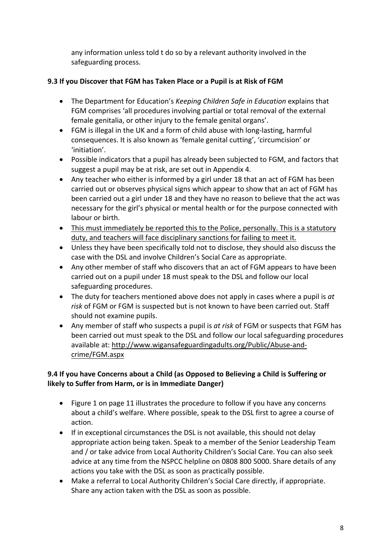any information unless told t do so by a relevant authority involved in the safeguarding process.

# **9.3 If you Discover that FGM has Taken Place or a Pupil is at Risk of FGM**

- The Department for Education's *Keeping Children Safe in Education* explains that FGM comprises 'all procedures involving partial or total removal of the external female genitalia, or other injury to the female genital organs'.
- FGM is illegal in the UK and a form of child abuse with long-lasting, harmful consequences. It is also known as 'female genital cutting', 'circumcision' or 'initiation'.
- Possible indicators that a pupil has already been subjected to FGM, and factors that suggest a pupil may be at risk, are set out in Appendix 4.
- Any teacher who either is informed by a girl under 18 that an act of FGM has been carried out or observes physical signs which appear to show that an act of FGM has been carried out a girl under 18 and they have no reason to believe that the act was necessary for the girl's physical or mental health or for the purpose connected with labour or birth.
- This must immediately be reported this to the Police, personally. This is a statutory duty, and teachers will face disciplinary sanctions for failing to meet it.
- Unless they have been specifically told not to disclose, they should also discuss the case with the DSL and involve Children's Social Care as appropriate.
- Any other member of staff who discovers that an act of FGM appears to have been carried out on a pupil under 18 must speak to the DSL and follow our local safeguarding procedures.
- The duty for teachers mentioned above does not apply in cases where a pupil is *at risk* of FGM or FGM is suspected but is not known to have been carried out. Staff should not examine pupils.
- Any member of staff who suspects a pupil is *at risk* of FGM or suspects that FGM has been carried out must speak to the DSL and follow our local safeguarding procedures available at: http://www.wigansafeguardingadults.org/Public/Abuse-andcrime/FGM.aspx

# **9.4 If you have Concerns about a Child (as Opposed to Believing a Child is Suffering or likely to Suffer from Harm, or is in Immediate Danger)**

- Figure 1 on page 11 illustrates the procedure to follow if you have any concerns about a child's welfare. Where possible, speak to the DSL first to agree a course of action.
- If in exceptional circumstances the DSL is not available, this should not delay appropriate action being taken. Speak to a member of the Senior Leadership Team and / or take advice from Local Authority Children's Social Care. You can also seek advice at any time from the NSPCC helpline on 0808 800 5000. Share details of any actions you take with the DSL as soon as practically possible.
- Make a referral to Local Authority Children's Social Care directly, if appropriate. Share any action taken with the DSL as soon as possible.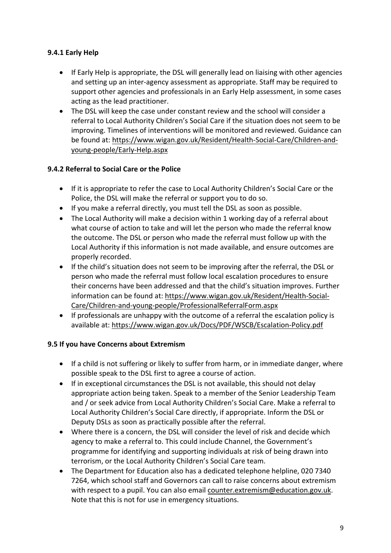# **9.4.1 Early Help**

- If Early Help is appropriate, the DSL will generally lead on liaising with other agencies and setting up an inter-agency assessment as appropriate. Staff may be required to support other agencies and professionals in an Early Help assessment, in some cases acting as the lead practitioner.
- The DSL will keep the case under constant review and the school will consider a referral to Local Authority Children's Social Care if the situation does not seem to be improving. Timelines of interventions will be monitored and reviewed. Guidance can be found at: https://www.wigan.gov.uk/Resident/Health-Social-Care/Children-andyoung-people/Early-Help.aspx

## **9.4.2 Referral to Social Care or the Police**

- If it is appropriate to refer the case to Local Authority Children's Social Care or the Police, the DSL will make the referral or support you to do so.
- If you make a referral directly, you must tell the DSL as soon as possible.
- The Local Authority will make a decision within 1 working day of a referral about what course of action to take and will let the person who made the referral know the outcome. The DSL or person who made the referral must follow up with the Local Authority if this information is not made available, and ensure outcomes are properly recorded.
- If the child's situation does not seem to be improving after the referral, the DSL or person who made the referral must follow local escalation procedures to ensure their concerns have been addressed and that the child's situation improves. Further information can be found at: https://www.wigan.gov.uk/Resident/Health-Social-Care/Children-and-young-people/ProfessionalReferralForm.aspx
- If professionals are unhappy with the outcome of a referral the escalation policy is available at: https://www.wigan.gov.uk/Docs/PDF/WSCB/Escalation-Policy.pdf

## **9.5 If you have Concerns about Extremism**

- If a child is not suffering or likely to suffer from harm, or in immediate danger, where possible speak to the DSL first to agree a course of action.
- If in exceptional circumstances the DSL is not available, this should not delay appropriate action being taken. Speak to a member of the Senior Leadership Team and / or seek advice from Local Authority Children's Social Care. Make a referral to Local Authority Children's Social Care directly, if appropriate. Inform the DSL or Deputy DSLs as soon as practically possible after the referral.
- Where there is a concern, the DSL will consider the level of risk and decide which agency to make a referral to. This could include Channel, the Government's programme for identifying and supporting individuals at risk of being drawn into terrorism, or the Local Authority Children's Social Care team.
- The Department for Education also has a dedicated telephone helpline, 020 7340 7264, which school staff and Governors can call to raise concerns about extremism with respect to a pupil. You can also email counter.extremism@education.gov.uk. Note that this is not for use in emergency situations.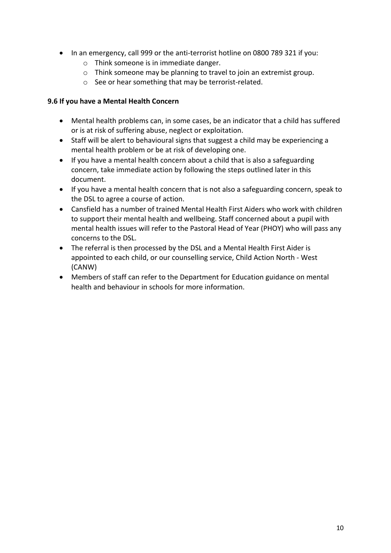- In an emergency, call 999 or the anti-terrorist hotline on 0800 789 321 if you:
	- o Think someone is in immediate danger.
	- o Think someone may be planning to travel to join an extremist group.
	- o See or hear something that may be terrorist-related.

## **9.6 If you have a Mental Health Concern**

- Mental health problems can, in some cases, be an indicator that a child has suffered or is at risk of suffering abuse, neglect or exploitation.
- Staff will be alert to behavioural signs that suggest a child may be experiencing a mental health problem or be at risk of developing one.
- If you have a mental health concern about a child that is also a safeguarding concern, take immediate action by following the steps outlined later in this document.
- If you have a mental health concern that is not also a safeguarding concern, speak to the DSL to agree a course of action.
- Cansfield has a number of trained Mental Health First Aiders who work with children to support their mental health and wellbeing. Staff concerned about a pupil with mental health issues will refer to the Pastoral Head of Year (PHOY) who will pass any concerns to the DSL.
- The referral is then processed by the DSL and a Mental Health First Aider is appointed to each child, or our counselling service, Child Action North - West (CANW)
- Members of staff can refer to the Department for Education guidance on mental health and behaviour in schools for more information.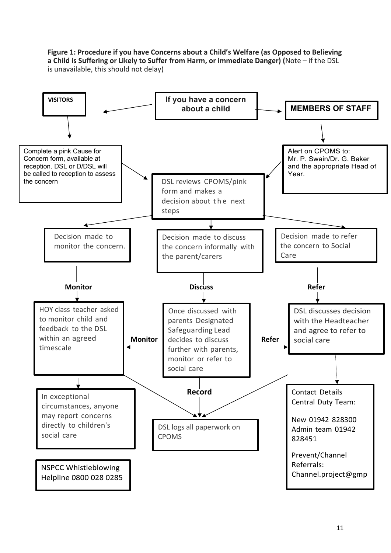#### **Figure 1: Procedure if you have Concerns about a Child's Welfare (as Opposed to Believing a Child is Suffering or Likely to Suffer from Harm, or immediate Danger) (**Note – if the DSL is unavailable, this should not delay)

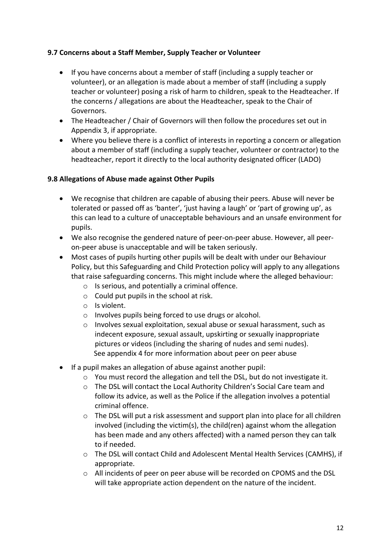## **9.7 Concerns about a Staff Member, Supply Teacher or Volunteer**

- If you have concerns about a member of staff (including a supply teacher or volunteer), or an allegation is made about a member of staff (including a supply teacher or volunteer) posing a risk of harm to children, speak to the Headteacher. If the concerns / allegations are about the Headteacher, speak to the Chair of Governors.
- The Headteacher / Chair of Governors will then follow the procedures set out in Appendix 3, if appropriate.
- Where you believe there is a conflict of interests in reporting a concern or allegation about a member of staff (including a supply teacher, volunteer or contractor) to the headteacher, report it directly to the local authority designated officer (LADO)

## **9.8 Allegations of Abuse made against Other Pupils**

- We recognise that children are capable of abusing their peers. Abuse will never be tolerated or passed off as 'banter', 'just having a laugh' or 'part of growing up', as this can lead to a culture of unacceptable behaviours and an unsafe environment for pupils.
- We also recognise the gendered nature of peer-on-peer abuse. However, all peeron-peer abuse is unacceptable and will be taken seriously.
- Most cases of pupils hurting other pupils will be dealt with under our Behaviour Policy, but this Safeguarding and Child Protection policy will apply to any allegations that raise safeguarding concerns. This might include where the alleged behaviour:
	- o Is serious, and potentially a criminal offence.
	- $\circ$  Could put pupils in the school at risk.
	- o Is violent.
	- o Involves pupils being forced to use drugs or alcohol.
	- o Involves sexual exploitation, sexual abuse or sexual harassment, such as indecent exposure, sexual assault, upskirting or sexually inappropriate pictures or videos (including the sharing of nudes and semi nudes). See appendix 4 for more information about peer on peer abuse
- If a pupil makes an allegation of abuse against another pupil:
	- o You must record the allegation and tell the DSL, but do not investigate it.
	- o The DSL will contact the Local Authority Children's Social Care team and follow its advice, as well as the Police if the allegation involves a potential criminal offence.
	- o The DSL will put a risk assessment and support plan into place for all children involved (including the victim(s), the child(ren) against whom the allegation has been made and any others affected) with a named person they can talk to if needed.
	- o The DSL will contact Child and Adolescent Mental Health Services (CAMHS), if appropriate.
	- o All incidents of peer on peer abuse will be recorded on CPOMS and the DSL will take appropriate action dependent on the nature of the incident.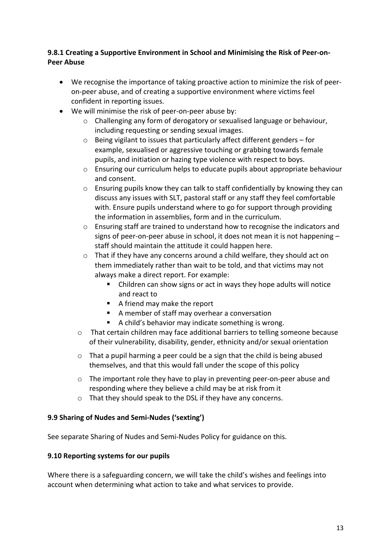## **9.8.1 Creating a Supportive Environment in School and Minimising the Risk of Peer-on-Peer Abuse**

- We recognise the importance of taking proactive action to minimize the risk of peeron-peer abuse, and of creating a supportive environment where victims feel confident in reporting issues.
- We will minimise the risk of peer-on-peer abuse by:
	- o Challenging any form of derogatory or sexualised language or behaviour, including requesting or sending sexual images.
	- o Being vigilant to issues that particularly affect different genders for example, sexualised or aggressive touching or grabbing towards female pupils, and initiation or hazing type violence with respect to boys.
	- o Ensuring our curriculum helps to educate pupils about appropriate behaviour and consent.
	- $\circ$  Ensuring pupils know they can talk to staff confidentially by knowing they can discuss any issues with SLT, pastoral staff or any staff they feel comfortable with. Ensure pupils understand where to go for support through providing the information in assemblies, form and in the curriculum.
	- $\circ$  Ensuring staff are trained to understand how to recognise the indicators and signs of peer-on-peer abuse in school, it does not mean it is not happening – staff should maintain the attitude it could happen here.
	- $\circ$  That if they have any concerns around a child welfare, they should act on them immediately rather than wait to be told, and that victims may not always make a direct report. For example:
		- Children can show signs or act in ways they hope adults will notice and react to
		- A friend may make the report
		- § A member of staff may overhear a conversation
		- § A child's behavior may indicate something is wrong.
	- o That certain children may face additional barriers to telling someone because of their vulnerability, disability, gender, ethnicity and/or sexual orientation
	- o That a pupil harming a peer could be a sign that the child is being abused themselves, and that this would fall under the scope of this policy
	- $\circ$  The important role they have to play in preventing peer-on-peer abuse and responding where they believe a child may be at risk from it
	- o That they should speak to the DSL if they have any concerns.

## **9.9 Sharing of Nudes and Semi-Nudes ('sexting')**

See separate Sharing of Nudes and Semi-Nudes Policy for guidance on this.

#### **9.10 Reporting systems for our pupils**

Where there is a safeguarding concern, we will take the child's wishes and feelings into account when determining what action to take and what services to provide.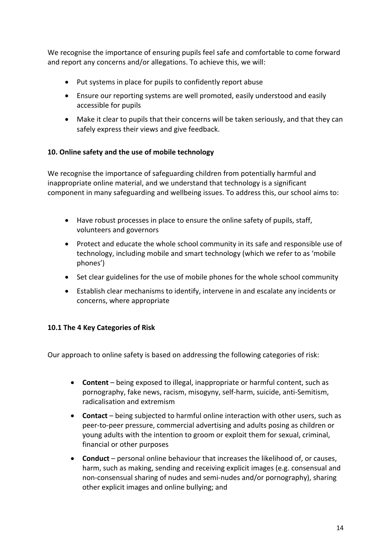We recognise the importance of ensuring pupils feel safe and comfortable to come forward and report any concerns and/or allegations. To achieve this, we will:

- Put systems in place for pupils to confidently report abuse
- Ensure our reporting systems are well promoted, easily understood and easily accessible for pupils
- Make it clear to pupils that their concerns will be taken seriously, and that they can safely express their views and give feedback.

## **10. Online safety and the use of mobile technology**

We recognise the importance of safeguarding children from potentially harmful and inappropriate online material, and we understand that technology is a significant component in many safeguarding and wellbeing issues. To address this, our school aims to:

- Have robust processes in place to ensure the online safety of pupils, staff, volunteers and governors
- Protect and educate the whole school community in its safe and responsible use of technology, including mobile and smart technology (which we refer to as 'mobile phones')
- Set clear guidelines for the use of mobile phones for the whole school community
- Establish clear mechanisms to identify, intervene in and escalate any incidents or concerns, where appropriate

## **10.1 The 4 Key Categories of Risk**

Our approach to online safety is based on addressing the following categories of risk:

- **Content** being exposed to illegal, inappropriate or harmful content, such as pornography, fake news, racism, misogyny, self-harm, suicide, anti-Semitism, radicalisation and extremism
- **Contact** being subjected to harmful online interaction with other users, such as peer-to-peer pressure, commercial advertising and adults posing as children or young adults with the intention to groom or exploit them for sexual, criminal, financial or other purposes
- **Conduct** personal online behaviour that increases the likelihood of, or causes, harm, such as making, sending and receiving explicit images (e.g. consensual and non-consensual sharing of nudes and semi-nudes and/or pornography), sharing other explicit images and online bullying; and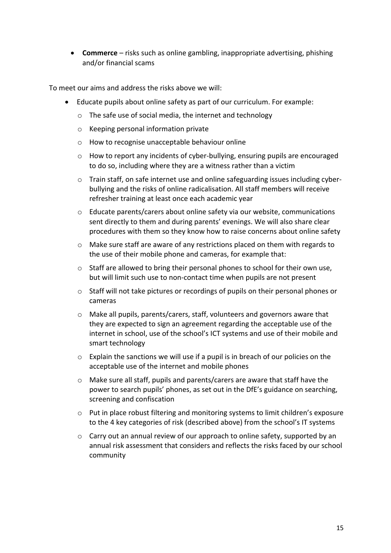• **Commerce** – risks such as online gambling, inappropriate advertising, phishing and/or financial scams

To meet our aims and address the risks above we will:

- Educate pupils about online safety as part of our curriculum. For example:
	- o The safe use of social media, the internet and technology
	- o Keeping personal information private
	- o How to recognise unacceptable behaviour online
	- $\circ$  How to report any incidents of cyber-bullying, ensuring pupils are encouraged to do so, including where they are a witness rather than a victim
	- o Train staff, on safe internet use and online safeguarding issues including cyberbullying and the risks of online radicalisation. All staff members will receive refresher training at least once each academic year
	- o Educate parents/carers about online safety via our website, communications sent directly to them and during parents' evenings. We will also share clear procedures with them so they know how to raise concerns about online safety
	- $\circ$  Make sure staff are aware of any restrictions placed on them with regards to the use of their mobile phone and cameras, for example that:
	- o Staff are allowed to bring their personal phones to school for their own use, but will limit such use to non-contact time when pupils are not present
	- o Staff will not take pictures or recordings of pupils on their personal phones or cameras
	- o Make all pupils, parents/carers, staff, volunteers and governors aware that they are expected to sign an agreement regarding the acceptable use of the internet in school, use of the school's ICT systems and use of their mobile and smart technology
	- $\circ$  Explain the sanctions we will use if a pupil is in breach of our policies on the acceptable use of the internet and mobile phones
	- o Make sure all staff, pupils and parents/carers are aware that staff have the power to search pupils' phones, as set out in the DfE's guidance on searching, screening and confiscation
	- o Put in place robust filtering and monitoring systems to limit children's exposure to the 4 key categories of risk (described above) from the school's IT systems
	- $\circ$  Carry out an annual review of our approach to online safety, supported by an annual risk assessment that considers and reflects the risks faced by our school community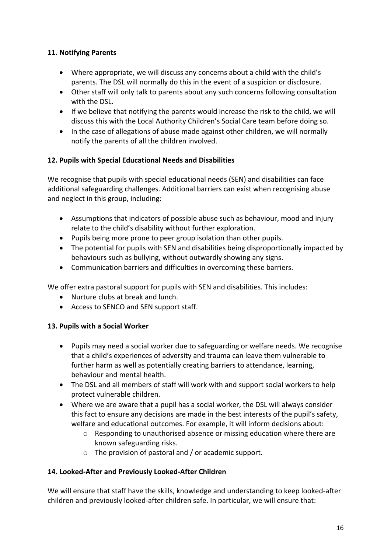## **11. Notifying Parents**

- Where appropriate, we will discuss any concerns about a child with the child's parents. The DSL will normally do this in the event of a suspicion or disclosure.
- Other staff will only talk to parents about any such concerns following consultation with the DSL.
- If we believe that notifying the parents would increase the risk to the child, we will discuss this with the Local Authority Children's Social Care team before doing so.
- In the case of allegations of abuse made against other children, we will normally notify the parents of all the children involved.

## **12. Pupils with Special Educational Needs and Disabilities**

We recognise that pupils with special educational needs (SEN) and disabilities can face additional safeguarding challenges. Additional barriers can exist when recognising abuse and neglect in this group, including:

- Assumptions that indicators of possible abuse such as behaviour, mood and injury relate to the child's disability without further exploration.
- Pupils being more prone to peer group isolation than other pupils.
- The potential for pupils with SEN and disabilities being disproportionally impacted by behaviours such as bullying, without outwardly showing any signs.
- Communication barriers and difficulties in overcoming these barriers.

We offer extra pastoral support for pupils with SEN and disabilities. This includes:

- Nurture clubs at break and lunch.
- Access to SENCO and SEN support staff.

## **13. Pupils with a Social Worker**

- Pupils may need a social worker due to safeguarding or welfare needs. We recognise that a child's experiences of adversity and trauma can leave them vulnerable to further harm as well as potentially creating barriers to attendance, learning, behaviour and mental health.
- The DSL and all members of staff will work with and support social workers to help protect vulnerable children.
- Where we are aware that a pupil has a social worker, the DSL will always consider this fact to ensure any decisions are made in the best interests of the pupil's safety, welfare and educational outcomes. For example, it will inform decisions about:
	- $\circ$  Responding to unauthorised absence or missing education where there are known safeguarding risks.
	- o The provision of pastoral and / or academic support.

# **14. Looked-After and Previously Looked-After Children**

We will ensure that staff have the skills, knowledge and understanding to keep looked-after children and previously looked-after children safe. In particular, we will ensure that: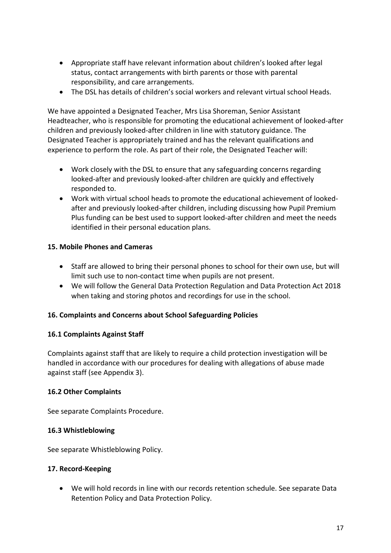- Appropriate staff have relevant information about children's looked after legal status, contact arrangements with birth parents or those with parental responsibility, and care arrangements.
- The DSL has details of children's social workers and relevant virtual school Heads.

We have appointed a Designated Teacher, Mrs Lisa Shoreman, Senior Assistant Headteacher, who is responsible for promoting the educational achievement of looked-after children and previously looked-after children in line with statutory guidance. The Designated Teacher is appropriately trained and has the relevant qualifications and experience to perform the role. As part of their role, the Designated Teacher will:

- Work closely with the DSL to ensure that any safeguarding concerns regarding looked-after and previously looked-after children are quickly and effectively responded to.
- Work with virtual school heads to promote the educational achievement of lookedafter and previously looked-after children, including discussing how Pupil Premium Plus funding can be best used to support looked-after children and meet the needs identified in their personal education plans.

## **15. Mobile Phones and Cameras**

- Staff are allowed to bring their personal phones to school for their own use, but will limit such use to non-contact time when pupils are not present.
- We will follow the General Data Protection Regulation and Data Protection Act 2018 when taking and storing photos and recordings for use in the school.

## **16. Complaints and Concerns about School Safeguarding Policies**

#### **16.1 Complaints Against Staff**

Complaints against staff that are likely to require a child protection investigation will be handled in accordance with our procedures for dealing with allegations of abuse made against staff (see Appendix 3).

#### **16.2 Other Complaints**

See separate Complaints Procedure.

#### **16.3 Whistleblowing**

See separate Whistleblowing Policy.

#### **17. Record-Keeping**

• We will hold records in line with our records retention schedule. See separate Data Retention Policy and Data Protection Policy.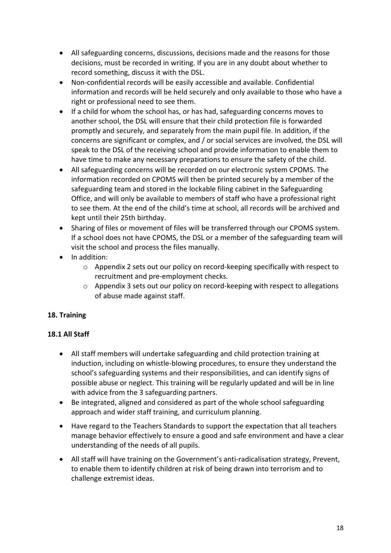- All safeguarding concerns, discussions, decisions made and the reasons for those decisions, must be recorded in writing. If you are in any doubt about whether to record something, discuss it with the DSL.
- Non-confidential records will be easily accessible and available. Confidential information and records will be held securely and only available to those who have a right or professional need to see them.
- If a child for whom the school has, or has had, safeguarding concerns moves to another school, the DSL will ensure that their child protection file is forwarded promptly and securely, and separately from the main pupil file. In addition, if the concerns are significant or complex, and / or social services are involved, the DSL will speak to the DSL of the receiving school and provide information to enable them to have time to make any necessary preparations to ensure the safety of the child.
- All safeguarding concerns will be recorded on our electronic system CPOMS. The information recorded on CPOMS will then be printed securely by a member of the safeguarding team and stored in the lockable filing cabinet in the Safeguarding Office, and will only be available to members of staff who have a professional right to see them. At the end of the child's time at school, all records will be archived and kept until their 25th birthday.
- Sharing of files or movement of files will be transferred through our CPOMS system. If a school does not have CPOMS, the DSL or a member of the safeguarding team will visit the school and process the files manually.
- In addition:
	- o Appendix 2 sets out our policy on record-keeping specifically with respect to recruitment and pre-employment checks.
	- o Appendix 3 sets out our policy on record-keeping with respect to allegations of abuse made against staff.

# **18. Training**

# **18.1 All Staff**

- All staff members will undertake safeguarding and child protection training at induction, including on whistle-blowing procedures, to ensure they understand the school's safeguarding systems and their responsibilities, and can identify signs of possible abuse or neglect. This training will be regularly updated and will be in line with advice from the 3 safeguarding partners.
- Be integrated, aligned and considered as part of the whole school safeguarding approach and wider staff training, and curriculum planning.
- Have regard to the Teachers Standards to support the expectation that all teachers manage behavior effectively to ensure a good and safe environment and have a clear understanding of the needs of all pupils.
- All staff will have training on the Government's anti-radicalisation strategy, Prevent, to enable them to identify children at risk of being drawn into terrorism and to challenge extremist ideas.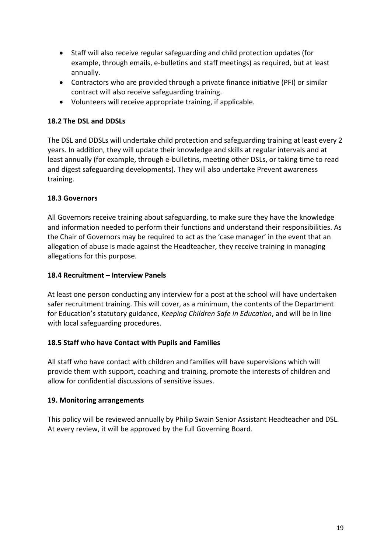- Staff will also receive regular safeguarding and child protection updates (for example, through emails, e-bulletins and staff meetings) as required, but at least annually.
- Contractors who are provided through a private finance initiative (PFI) or similar contract will also receive safeguarding training.
- Volunteers will receive appropriate training, if applicable.

## **18.2 The DSL and DDSLs**

The DSL and DDSLs will undertake child protection and safeguarding training at least every 2 years. In addition, they will update their knowledge and skills at regular intervals and at least annually (for example, through e-bulletins, meeting other DSLs, or taking time to read and digest safeguarding developments). They will also undertake Prevent awareness training.

## **18.3 Governors**

All Governors receive training about safeguarding, to make sure they have the knowledge and information needed to perform their functions and understand their responsibilities. As the Chair of Governors may be required to act as the 'case manager' in the event that an allegation of abuse is made against the Headteacher, they receive training in managing allegations for this purpose.

#### **18.4 Recruitment – Interview Panels**

At least one person conducting any interview for a post at the school will have undertaken safer recruitment training. This will cover, as a minimum, the contents of the Department for Education's statutory guidance, *Keeping Children Safe in Education*, and will be in line with local safeguarding procedures.

#### **18.5 Staff who have Contact with Pupils and Families**

All staff who have contact with children and families will have supervisions which will provide them with support, coaching and training, promote the interests of children and allow for confidential discussions of sensitive issues.

#### **19. Monitoring arrangements**

This policy will be reviewed annually by Philip Swain Senior Assistant Headteacher and DSL. At every review, it will be approved by the full Governing Board.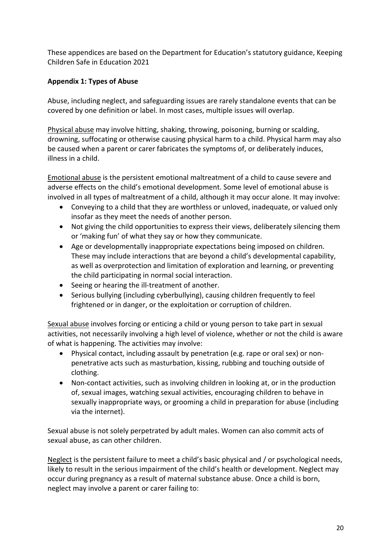These appendices are based on the Department for Education's statutory guidance, Keeping Children Safe in Education 2021

## **Appendix 1: Types of Abuse**

Abuse, including neglect, and safeguarding issues are rarely standalone events that can be covered by one definition or label. In most cases, multiple issues will overlap.

Physical abuse may involve hitting, shaking, throwing, poisoning, burning or scalding, drowning, suffocating or otherwise causing physical harm to a child. Physical harm may also be caused when a parent or carer fabricates the symptoms of, or deliberately induces, illness in a child.

Emotional abuse is the persistent emotional maltreatment of a child to cause severe and adverse effects on the child's emotional development. Some level of emotional abuse is involved in all types of maltreatment of a child, although it may occur alone. It may involve:

- Conveying to a child that they are worthless or unloved, inadequate, or valued only insofar as they meet the needs of another person.
- Not giving the child opportunities to express their views, deliberately silencing them or 'making fun' of what they say or how they communicate.
- Age or developmentally inappropriate expectations being imposed on children. These may include interactions that are beyond a child's developmental capability, as well as overprotection and limitation of exploration and learning, or preventing the child participating in normal social interaction.
- Seeing or hearing the ill-treatment of another.
- Serious bullying (including cyberbullying), causing children frequently to feel frightened or in danger, or the exploitation or corruption of children.

Sexual abuse involves forcing or enticing a child or young person to take part in sexual activities, not necessarily involving a high level of violence, whether or not the child is aware of what is happening. The activities may involve:

- Physical contact, including assault by penetration (e.g. rape or oral sex) or nonpenetrative acts such as masturbation, kissing, rubbing and touching outside of clothing.
- Non-contact activities, such as involving children in looking at, or in the production of, sexual images, watching sexual activities, encouraging children to behave in sexually inappropriate ways, or grooming a child in preparation for abuse (including via the internet).

Sexual abuse is not solely perpetrated by adult males. Women can also commit acts of sexual abuse, as can other children.

Neglect is the persistent failure to meet a child's basic physical and / or psychological needs, likely to result in the serious impairment of the child's health or development. Neglect may occur during pregnancy as a result of maternal substance abuse. Once a child is born, neglect may involve a parent or carer failing to: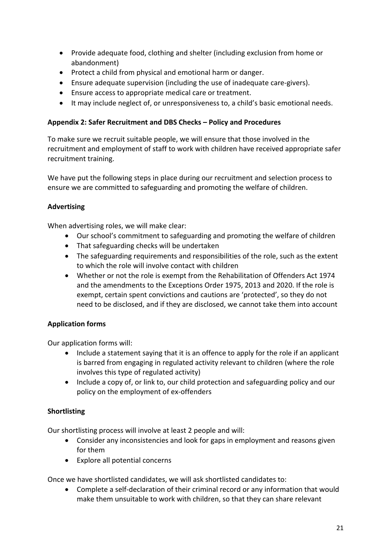- Provide adequate food, clothing and shelter (including exclusion from home or abandonment)
- Protect a child from physical and emotional harm or danger.
- Ensure adequate supervision (including the use of inadequate care-givers).
- Ensure access to appropriate medical care or treatment.
- It may include neglect of, or unresponsiveness to, a child's basic emotional needs.

#### **Appendix 2: Safer Recruitment and DBS Checks – Policy and Procedures**

To make sure we recruit suitable people, we will ensure that those involved in the recruitment and employment of staff to work with children have received appropriate safer recruitment training.

We have put the following steps in place during our recruitment and selection process to ensure we are committed to safeguarding and promoting the welfare of children.

## **Advertising**

When advertising roles, we will make clear:

- Our school's commitment to safeguarding and promoting the welfare of children
- That safeguarding checks will be undertaken
- The safeguarding requirements and responsibilities of the role, such as the extent to which the role will involve contact with children
- Whether or not the role is exempt from the Rehabilitation of Offenders Act 1974 and the amendments to the Exceptions Order 1975, 2013 and 2020. If the role is exempt, certain spent convictions and cautions are 'protected', so they do not need to be disclosed, and if they are disclosed, we cannot take them into account

## **Application forms**

Our application forms will:

- Include a statement saying that it is an offence to apply for the role if an applicant is barred from engaging in regulated activity relevant to children (where the role involves this type of regulated activity)
- Include a copy of, or link to, our child protection and safeguarding policy and our policy on the employment of ex-offenders

## **Shortlisting**

Our shortlisting process will involve at least 2 people and will:

- Consider any inconsistencies and look for gaps in employment and reasons given for them
- Explore all potential concerns

Once we have shortlisted candidates, we will ask shortlisted candidates to:

• Complete a self-declaration of their criminal record or any information that would make them unsuitable to work with children, so that they can share relevant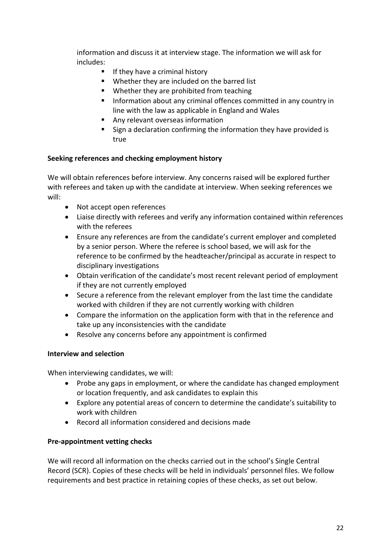information and discuss it at interview stage. The information we will ask for includes:

- **E** If they have a criminal history
- Whether they are included on the barred list
- Whether they are prohibited from teaching
- Information about any criminal offences committed in any country in line with the law as applicable in England and Wales
- Any relevant overseas information
- Sign a declaration confirming the information they have provided is true

## **Seeking references and checking employment history**

We will obtain references before interview. Any concerns raised will be explored further with referees and taken up with the candidate at interview. When seeking references we will:

- Not accept open references
- Liaise directly with referees and verify any information contained within references with the referees
- Ensure any references are from the candidate's current employer and completed by a senior person. Where the referee is school based, we will ask for the reference to be confirmed by the headteacher/principal as accurate in respect to disciplinary investigations
- Obtain verification of the candidate's most recent relevant period of employment if they are not currently employed
- Secure a reference from the relevant employer from the last time the candidate worked with children if they are not currently working with children
- Compare the information on the application form with that in the reference and take up any inconsistencies with the candidate
- Resolve any concerns before any appointment is confirmed

## **Interview and selection**

When interviewing candidates, we will:

- Probe any gaps in employment, or where the candidate has changed employment or location frequently, and ask candidates to explain this
- Explore any potential areas of concern to determine the candidate's suitability to work with children
- Record all information considered and decisions made

## **Pre-appointment vetting checks**

We will record all information on the checks carried out in the school's Single Central Record (SCR). Copies of these checks will be held in individuals' personnel files. We follow requirements and best practice in retaining copies of these checks, as set out below.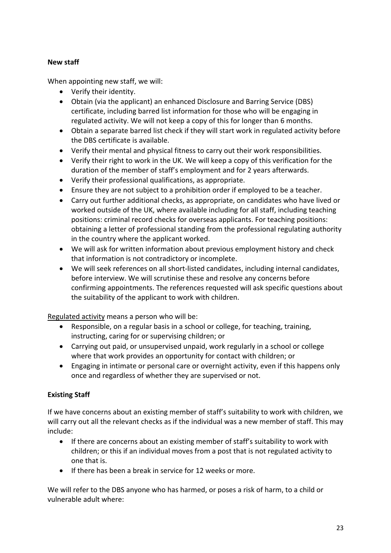## **New staff**

When appointing new staff, we will:

- Verify their identity.
- Obtain (via the applicant) an enhanced Disclosure and Barring Service (DBS) certificate, including barred list information for those who will be engaging in regulated activity. We will not keep a copy of this for longer than 6 months.
- Obtain a separate barred list check if they will start work in regulated activity before the DBS certificate is available.
- Verify their mental and physical fitness to carry out their work responsibilities.
- Verify their right to work in the UK. We will keep a copy of this verification for the duration of the member of staff's employment and for 2 years afterwards.
- Verify their professional qualifications, as appropriate.
- Ensure they are not subject to a prohibition order if employed to be a teacher.
- Carry out further additional checks, as appropriate, on candidates who have lived or worked outside of the UK, where available including for all staff, including teaching positions: criminal record checks for overseas applicants. For teaching positions: obtaining a letter of professional standing from the professional regulating authority in the country where the applicant worked.
- We will ask for written information about previous employment history and check that information is not contradictory or incomplete.
- We will seek references on all short-listed candidates, including internal candidates, before interview. We will scrutinise these and resolve any concerns before confirming appointments. The references requested will ask specific questions about the suitability of the applicant to work with children.

Regulated activity means a person who will be:

- Responsible, on a regular basis in a school or college, for teaching, training, instructing, caring for or supervising children; or
- Carrying out paid, or unsupervised unpaid, work regularly in a school or college where that work provides an opportunity for contact with children; or
- Engaging in intimate or personal care or overnight activity, even if this happens only once and regardless of whether they are supervised or not.

# **Existing Staff**

If we have concerns about an existing member of staff's suitability to work with children, we will carry out all the relevant checks as if the individual was a new member of staff. This may include:

- If there are concerns about an existing member of staff's suitability to work with children; or this if an individual moves from a post that is not regulated activity to one that is.
- If there has been a break in service for 12 weeks or more.

We will refer to the DBS anyone who has harmed, or poses a risk of harm, to a child or vulnerable adult where: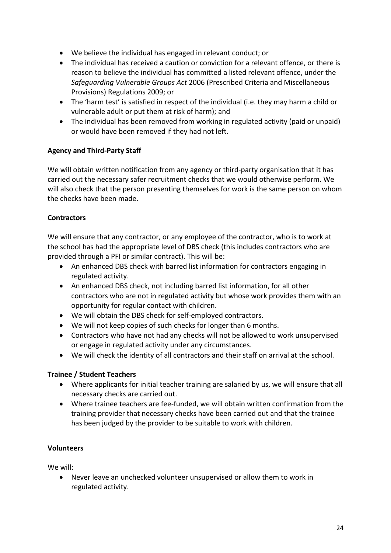- We believe the individual has engaged in relevant conduct; or
- The individual has received a caution or conviction for a relevant offence, or there is reason to believe the individual has committed a listed relevant offence, under the *Safeguarding Vulnerable Groups Act* 2006 (Prescribed Criteria and Miscellaneous Provisions) Regulations 2009; or
- The 'harm test' is satisfied in respect of the individual (i.e. they may harm a child or vulnerable adult or put them at risk of harm); and
- The individual has been removed from working in regulated activity (paid or unpaid) or would have been removed if they had not left.

## **Agency and Third-Party Staff**

We will obtain written notification from any agency or third-party organisation that it has carried out the necessary safer recruitment checks that we would otherwise perform. We will also check that the person presenting themselves for work is the same person on whom the checks have been made.

## **Contractors**

We will ensure that any contractor, or any employee of the contractor, who is to work at the school has had the appropriate level of DBS check (this includes contractors who are provided through a PFI or similar contract). This will be:

- An enhanced DBS check with barred list information for contractors engaging in regulated activity.
- An enhanced DBS check, not including barred list information, for all other contractors who are not in regulated activity but whose work provides them with an opportunity for regular contact with children.
- We will obtain the DBS check for self-employed contractors.
- We will not keep copies of such checks for longer than 6 months.
- Contractors who have not had any checks will not be allowed to work unsupervised or engage in regulated activity under any circumstances.
- We will check the identity of all contractors and their staff on arrival at the school.

# **Trainee / Student Teachers**

- Where applicants for initial teacher training are salaried by us, we will ensure that all necessary checks are carried out.
- Where trainee teachers are fee-funded, we will obtain written confirmation from the training provider that necessary checks have been carried out and that the trainee has been judged by the provider to be suitable to work with children.

## **Volunteers**

We will:

• Never leave an unchecked volunteer unsupervised or allow them to work in regulated activity.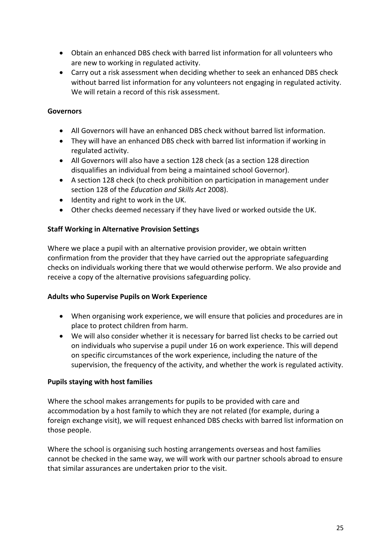- Obtain an enhanced DBS check with barred list information for all volunteers who are new to working in regulated activity.
- Carry out a risk assessment when deciding whether to seek an enhanced DBS check without barred list information for any volunteers not engaging in regulated activity. We will retain a record of this risk assessment.

## **Governors**

- All Governors will have an enhanced DBS check without barred list information.
- They will have an enhanced DBS check with barred list information if working in regulated activity.
- All Governors will also have a section 128 check (as a section 128 direction disqualifies an individual from being a maintained school Governor).
- A section 128 check (to check prohibition on participation in management under section 128 of the *Education and Skills Act* 2008).
- Identity and right to work in the UK.
- Other checks deemed necessary if they have lived or worked outside the UK.

## **Staff Working in Alternative Provision Settings**

Where we place a pupil with an alternative provision provider, we obtain written confirmation from the provider that they have carried out the appropriate safeguarding checks on individuals working there that we would otherwise perform. We also provide and receive a copy of the alternative provisions safeguarding policy.

## **Adults who Supervise Pupils on Work Experience**

- When organising work experience, we will ensure that policies and procedures are in place to protect children from harm.
- We will also consider whether it is necessary for barred list checks to be carried out on individuals who supervise a pupil under 16 on work experience. This will depend on specific circumstances of the work experience, including the nature of the supervision, the frequency of the activity, and whether the work is regulated activity.

## **Pupils staying with host families**

Where the school makes arrangements for pupils to be provided with care and accommodation by a host family to which they are not related (for example, during a foreign exchange visit), we will request enhanced DBS checks with barred list information on those people.

Where the school is organising such hosting arrangements overseas and host families cannot be checked in the same way, we will work with our partner schools abroad to ensure that similar assurances are undertaken prior to the visit.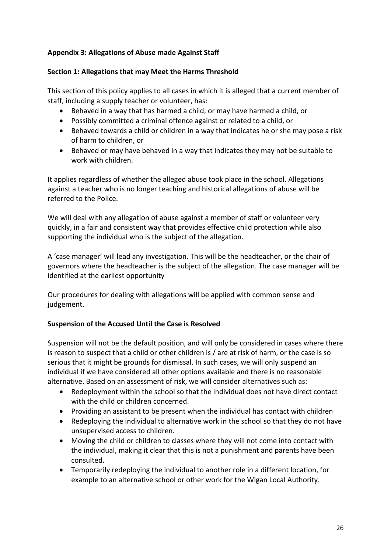## **Appendix 3: Allegations of Abuse made Against Staff**

#### **Section 1: Allegations that may Meet the Harms Threshold**

This section of this policy applies to all cases in which it is alleged that a current member of staff, including a supply teacher or volunteer, has:

- Behaved in a way that has harmed a child, or may have harmed a child, or
- Possibly committed a criminal offence against or related to a child, or
- Behaved towards a child or children in a way that indicates he or she may pose a risk of harm to children, or
- Behaved or may have behaved in a way that indicates they may not be suitable to work with children.

It applies regardless of whether the alleged abuse took place in the school. Allegations against a teacher who is no longer teaching and historical allegations of abuse will be referred to the Police.

We will deal with any allegation of abuse against a member of staff or volunteer very quickly, in a fair and consistent way that provides effective child protection while also supporting the individual who is the subject of the allegation.

A 'case manager' will lead any investigation. This will be the headteacher, or the chair of governors where the headteacher is the subject of the allegation. The case manager will be identified at the earliest opportunity

Our procedures for dealing with allegations will be applied with common sense and judgement.

## **Suspension of the Accused Until the Case is Resolved**

Suspension will not be the default position, and will only be considered in cases where there is reason to suspect that a child or other children is / are at risk of harm, or the case is so serious that it might be grounds for dismissal. In such cases, we will only suspend an individual if we have considered all other options available and there is no reasonable alternative. Based on an assessment of risk, we will consider alternatives such as:

- Redeployment within the school so that the individual does not have direct contact with the child or children concerned.
- Providing an assistant to be present when the individual has contact with children
- Redeploying the individual to alternative work in the school so that they do not have unsupervised access to children.
- Moving the child or children to classes where they will not come into contact with the individual, making it clear that this is not a punishment and parents have been consulted.
- Temporarily redeploying the individual to another role in a different location, for example to an alternative school or other work for the Wigan Local Authority.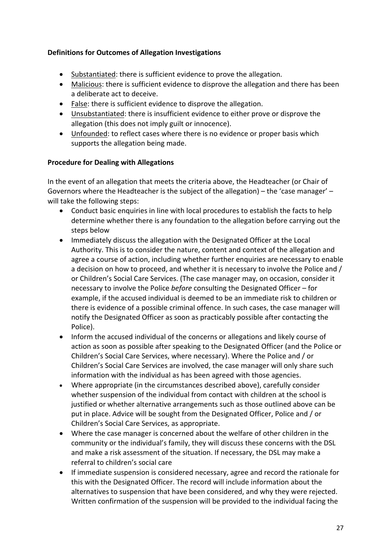## **Definitions for Outcomes of Allegation Investigations**

- Substantiated: there is sufficient evidence to prove the allegation.
- Malicious: there is sufficient evidence to disprove the allegation and there has been a deliberate act to deceive.
- False: there is sufficient evidence to disprove the allegation.
- Unsubstantiated: there is insufficient evidence to either prove or disprove the allegation (this does not imply guilt or innocence).
- Unfounded: to reflect cases where there is no evidence or proper basis which supports the allegation being made.

## **Procedure for Dealing with Allegations**

In the event of an allegation that meets the criteria above, the Headteacher (or Chair of Governors where the Headteacher is the subject of the allegation) – the 'case manager' – will take the following steps:

- Conduct basic enquiries in line with local procedures to establish the facts to help determine whether there is any foundation to the allegation before carrying out the steps below
- Immediately discuss the allegation with the Designated Officer at the Local Authority. This is to consider the nature, content and context of the allegation and agree a course of action, including whether further enquiries are necessary to enable a decision on how to proceed, and whether it is necessary to involve the Police and / or Children's Social Care Services. (The case manager may, on occasion, consider it necessary to involve the Police *before* consulting the Designated Officer – for example, if the accused individual is deemed to be an immediate risk to children or there is evidence of a possible criminal offence. In such cases, the case manager will notify the Designated Officer as soon as practicably possible after contacting the Police).
- Inform the accused individual of the concerns or allegations and likely course of action as soon as possible after speaking to the Designated Officer (and the Police or Children's Social Care Services, where necessary). Where the Police and / or Children's Social Care Services are involved, the case manager will only share such information with the individual as has been agreed with those agencies.
- Where appropriate (in the circumstances described above), carefully consider whether suspension of the individual from contact with children at the school is justified or whether alternative arrangements such as those outlined above can be put in place. Advice will be sought from the Designated Officer, Police and / or Children's Social Care Services, as appropriate.
- Where the case manager is concerned about the welfare of other children in the community or the individual's family, they will discuss these concerns with the DSL and make a risk assessment of the situation. If necessary, the DSL may make a referral to children's social care
- If immediate suspension is considered necessary, agree and record the rationale for this with the Designated Officer. The record will include information about the alternatives to suspension that have been considered, and why they were rejected. Written confirmation of the suspension will be provided to the individual facing the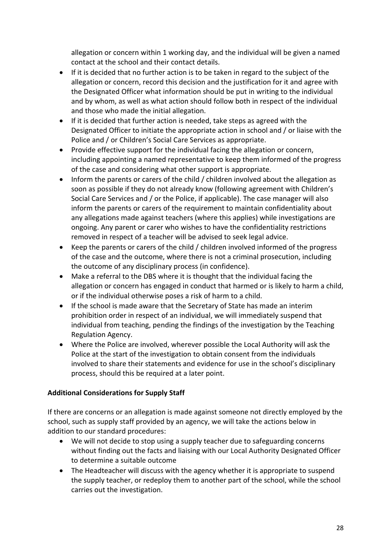allegation or concern within 1 working day, and the individual will be given a named contact at the school and their contact details.

- If it is decided that no further action is to be taken in regard to the subject of the allegation or concern, record this decision and the justification for it and agree with the Designated Officer what information should be put in writing to the individual and by whom, as well as what action should follow both in respect of the individual and those who made the initial allegation.
- If it is decided that further action is needed, take steps as agreed with the Designated Officer to initiate the appropriate action in school and / or liaise with the Police and / or Children's Social Care Services as appropriate.
- Provide effective support for the individual facing the allegation or concern, including appointing a named representative to keep them informed of the progress of the case and considering what other support is appropriate.
- Inform the parents or carers of the child / children involved about the allegation as soon as possible if they do not already know (following agreement with Children's Social Care Services and / or the Police, if applicable). The case manager will also inform the parents or carers of the requirement to maintain confidentiality about any allegations made against teachers (where this applies) while investigations are ongoing. Any parent or carer who wishes to have the confidentiality restrictions removed in respect of a teacher will be advised to seek legal advice.
- Keep the parents or carers of the child / children involved informed of the progress of the case and the outcome, where there is not a criminal prosecution, including the outcome of any disciplinary process (in confidence).
- Make a referral to the DBS where it is thought that the individual facing the allegation or concern has engaged in conduct that harmed or is likely to harm a child, or if the individual otherwise poses a risk of harm to a child.
- If the school is made aware that the Secretary of State has made an interim prohibition order in respect of an individual, we will immediately suspend that individual from teaching, pending the findings of the investigation by the Teaching Regulation Agency.
- Where the Police are involved, wherever possible the Local Authority will ask the Police at the start of the investigation to obtain consent from the individuals involved to share their statements and evidence for use in the school's disciplinary process, should this be required at a later point.

## **Additional Considerations for Supply Staff**

If there are concerns or an allegation is made against someone not directly employed by the school, such as supply staff provided by an agency, we will take the actions below in addition to our standard procedures:

- We will not decide to stop using a supply teacher due to safeguarding concerns without finding out the facts and liaising with our Local Authority Designated Officer to determine a suitable outcome
- The Headteacher will discuss with the agency whether it is appropriate to suspend the supply teacher, or redeploy them to another part of the school, while the school carries out the investigation.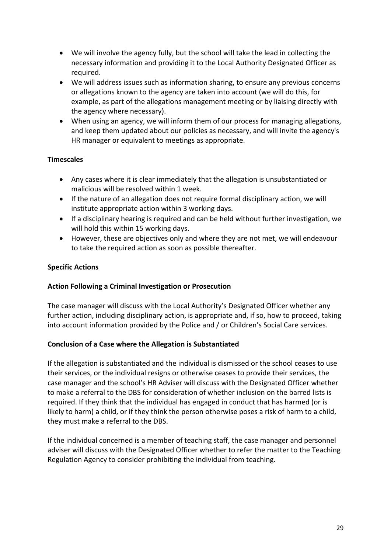- We will involve the agency fully, but the school will take the lead in collecting the necessary information and providing it to the Local Authority Designated Officer as required.
- We will address issues such as information sharing, to ensure any previous concerns or allegations known to the agency are taken into account (we will do this, for example, as part of the allegations management meeting or by liaising directly with the agency where necessary).
- When using an agency, we will inform them of our process for managing allegations, and keep them updated about our policies as necessary, and will invite the agency's HR manager or equivalent to meetings as appropriate.

## **Timescales**

- Any cases where it is clear immediately that the allegation is unsubstantiated or malicious will be resolved within 1 week.
- If the nature of an allegation does not require formal disciplinary action, we will institute appropriate action within 3 working days.
- If a disciplinary hearing is required and can be held without further investigation, we will hold this within 15 working days.
- However, these are objectives only and where they are not met, we will endeavour to take the required action as soon as possible thereafter.

## **Specific Actions**

## **Action Following a Criminal Investigation or Prosecution**

The case manager will discuss with the Local Authority's Designated Officer whether any further action, including disciplinary action, is appropriate and, if so, how to proceed, taking into account information provided by the Police and / or Children's Social Care services.

## **Conclusion of a Case where the Allegation is Substantiated**

If the allegation is substantiated and the individual is dismissed or the school ceases to use their services, or the individual resigns or otherwise ceases to provide their services, the case manager and the school's HR Adviser will discuss with the Designated Officer whether to make a referral to the DBS for consideration of whether inclusion on the barred lists is required. If they think that the individual has engaged in conduct that has harmed (or is likely to harm) a child, or if they think the person otherwise poses a risk of harm to a child, they must make a referral to the DBS.

If the individual concerned is a member of teaching staff, the case manager and personnel adviser will discuss with the Designated Officer whether to refer the matter to the Teaching Regulation Agency to consider prohibiting the individual from teaching.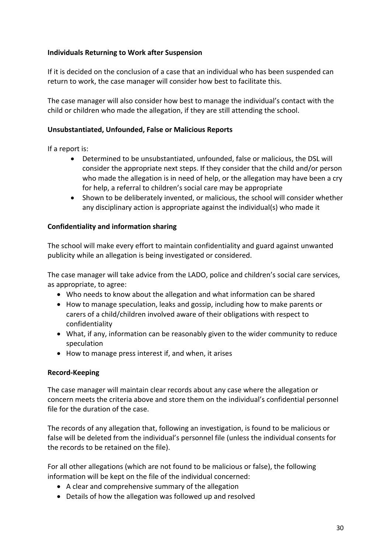## **Individuals Returning to Work after Suspension**

If it is decided on the conclusion of a case that an individual who has been suspended can return to work, the case manager will consider how best to facilitate this.

The case manager will also consider how best to manage the individual's contact with the child or children who made the allegation, if they are still attending the school.

#### **Unsubstantiated, Unfounded, False or Malicious Reports**

If a report is:

- Determined to be unsubstantiated, unfounded, false or malicious, the DSL will consider the appropriate next steps. If they consider that the child and/or person who made the allegation is in need of help, or the allegation may have been a cry for help, a referral to children's social care may be appropriate
- Shown to be deliberately invented, or malicious, the school will consider whether any disciplinary action is appropriate against the individual(s) who made it

## **Confidentiality and information sharing**

The school will make every effort to maintain confidentiality and guard against unwanted publicity while an allegation is being investigated or considered.

The case manager will take advice from the LADO, police and children's social care services, as appropriate, to agree:

- Who needs to know about the allegation and what information can be shared
- How to manage speculation, leaks and gossip, including how to make parents or carers of a child/children involved aware of their obligations with respect to confidentiality
- What, if any, information can be reasonably given to the wider community to reduce speculation
- How to manage press interest if, and when, it arises

#### **Record-Keeping**

The case manager will maintain clear records about any case where the allegation or concern meets the criteria above and store them on the individual's confidential personnel file for the duration of the case.

The records of any allegation that, following an investigation, is found to be malicious or false will be deleted from the individual's personnel file (unless the individual consents for the records to be retained on the file).

For all other allegations (which are not found to be malicious or false), the following information will be kept on the file of the individual concerned:

- A clear and comprehensive summary of the allegation
- Details of how the allegation was followed up and resolved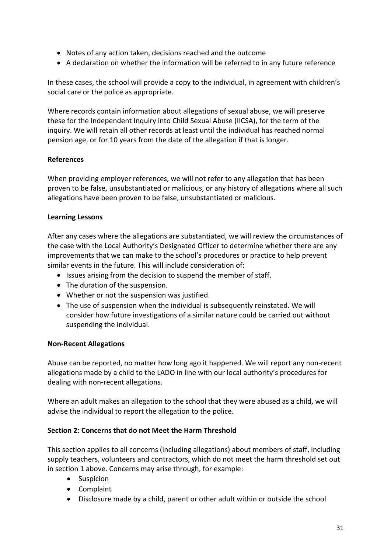- Notes of any action taken, decisions reached and the outcome
- A declaration on whether the information will be referred to in any future reference

In these cases, the school will provide a copy to the individual, in agreement with children's social care or the police as appropriate.

Where records contain information about allegations of sexual abuse, we will preserve these for the Independent Inquiry into Child Sexual Abuse (IICSA), for the term of the inquiry. We will retain all other records at least until the individual has reached normal pension age, or for 10 years from the date of the allegation if that is longer.

## **References**

When providing employer references, we will not refer to any allegation that has been proven to be false, unsubstantiated or malicious, or any history of allegations where all such allegations have been proven to be false, unsubstantiated or malicious.

#### **Learning Lessons**

After any cases where the allegations are substantiated, we will review the circumstances of the case with the Local Authority's Designated Officer to determine whether there are any improvements that we can make to the school's procedures or practice to help prevent similar events in the future. This will include consideration of:

- Issues arising from the decision to suspend the member of staff.
- The duration of the suspension.
- Whether or not the suspension was justified.
- The use of suspension when the individual is subsequently reinstated. We will consider how future investigations of a similar nature could be carried out without suspending the individual.

#### **Non-Recent Allegations**

Abuse can be reported, no matter how long ago it happened. We will report any non-recent allegations made by a child to the LADO in line with our local authority's procedures for dealing with non-recent allegations.

Where an adult makes an allegation to the school that they were abused as a child, we will advise the individual to report the allegation to the police.

## **Section 2: Concerns that do not Meet the Harm Threshold**

This section applies to all concerns (including allegations) about members of staff, including supply teachers, volunteers and contractors, which do not meet the harm threshold set out in section 1 above. Concerns may arise through, for example:

- Suspicion
- Complaint
- Disclosure made by a child, parent or other adult within or outside the school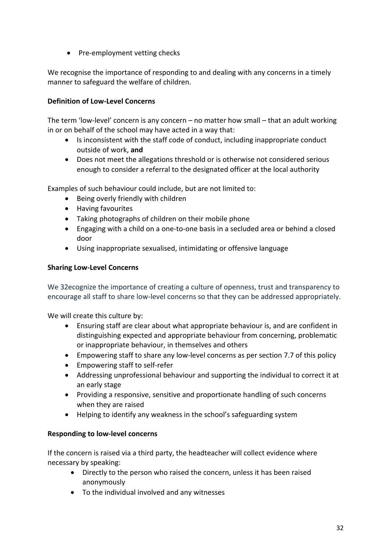• Pre-employment vetting checks

We recognise the importance of responding to and dealing with any concerns in a timely manner to safeguard the welfare of children.

## **Definition of Low-Level Concerns**

The term 'low-level' concern is any concern – no matter how small – that an adult working in or on behalf of the school may have acted in a way that:

- Is inconsistent with the staff code of conduct, including inappropriate conduct outside of work, **and**
- Does not meet the allegations threshold or is otherwise not considered serious enough to consider a referral to the designated officer at the local authority

Examples of such behaviour could include, but are not limited to:

- Being overly friendly with children
- Having favourites
- Taking photographs of children on their mobile phone
- Engaging with a child on a one-to-one basis in a secluded area or behind a closed door
- Using inappropriate sexualised, intimidating or offensive language

#### **Sharing Low-Level Concerns**

We 32ecognize the importance of creating a culture of openness, trust and transparency to encourage all staff to share low-level concerns so that they can be addressed appropriately.

We will create this culture by:

- Ensuring staff are clear about what appropriate behaviour is, and are confident in distinguishing expected and appropriate behaviour from concerning, problematic or inappropriate behaviour, in themselves and others
- Empowering staff to share any low-level concerns as per section 7.7 of this policy
- Empowering staff to self-refer
- Addressing unprofessional behaviour and supporting the individual to correct it at an early stage
- Providing a responsive, sensitive and proportionate handling of such concerns when they are raised
- Helping to identify any weakness in the school's safeguarding system

## **Responding to low-level concerns**

If the concern is raised via a third party, the headteacher will collect evidence where necessary by speaking:

- Directly to the person who raised the concern, unless it has been raised anonymously
- To the individual involved and any witnesses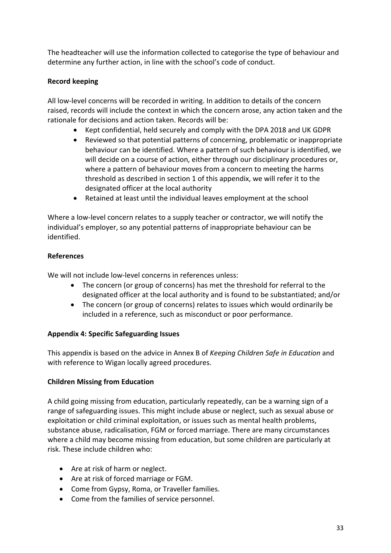The headteacher will use the information collected to categorise the type of behaviour and determine any further action, in line with the school's code of conduct.

## **Record keeping**

All low-level concerns will be recorded in writing. In addition to details of the concern raised, records will include the context in which the concern arose, any action taken and the rationale for decisions and action taken. Records will be:

- Kept confidential, held securely and comply with the DPA 2018 and UK GDPR
- Reviewed so that potential patterns of concerning, problematic or inappropriate behaviour can be identified. Where a pattern of such behaviour is identified, we will decide on a course of action, either through our disciplinary procedures or, where a pattern of behaviour moves from a concern to meeting the harms threshold as described in section 1 of this appendix, we will refer it to the designated officer at the local authority
- Retained at least until the individual leaves employment at the school

Where a low-level concern relates to a supply teacher or contractor, we will notify the individual's employer, so any potential patterns of inappropriate behaviour can be identified.

## **References**

We will not include low-level concerns in references unless:

- The concern (or group of concerns) has met the threshold for referral to the designated officer at the local authority and is found to be substantiated; and/or
- The concern (or group of concerns) relates to issues which would ordinarily be included in a reference, such as misconduct or poor performance.

## **Appendix 4: Specific Safeguarding Issues**

This appendix is based on the advice in Annex B of *Keeping Children Safe in Education* and with reference to Wigan locally agreed procedures.

## **Children Missing from Education**

A child going missing from education, particularly repeatedly, can be a warning sign of a range of safeguarding issues. This might include abuse or neglect, such as sexual abuse or exploitation or child criminal exploitation, or issues such as mental health problems, substance abuse, radicalisation, FGM or forced marriage. There are many circumstances where a child may become missing from education, but some children are particularly at risk. These include children who:

- Are at risk of harm or neglect.
- Are at risk of forced marriage or FGM.
- Come from Gypsy, Roma, or Traveller families.
- Come from the families of service personnel.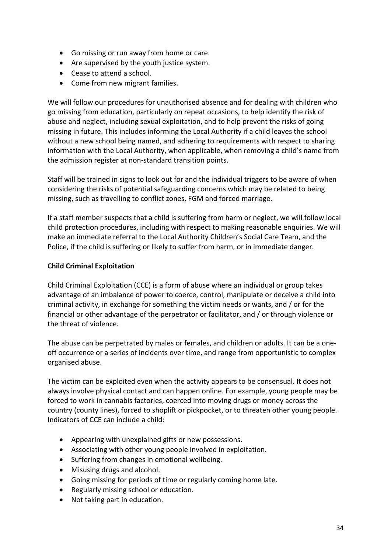- Go missing or run away from home or care.
- Are supervised by the youth justice system.
- Cease to attend a school.
- Come from new migrant families.

We will follow our procedures for unauthorised absence and for dealing with children who go missing from education, particularly on repeat occasions, to help identify the risk of abuse and neglect, including sexual exploitation, and to help prevent the risks of going missing in future. This includes informing the Local Authority if a child leaves the school without a new school being named, and adhering to requirements with respect to sharing information with the Local Authority, when applicable, when removing a child's name from the admission register at non-standard transition points.

Staff will be trained in signs to look out for and the individual triggers to be aware of when considering the risks of potential safeguarding concerns which may be related to being missing, such as travelling to conflict zones, FGM and forced marriage.

If a staff member suspects that a child is suffering from harm or neglect, we will follow local child protection procedures, including with respect to making reasonable enquiries. We will make an immediate referral to the Local Authority Children's Social Care Team, and the Police, if the child is suffering or likely to suffer from harm, or in immediate danger.

## **Child Criminal Exploitation**

Child Criminal Exploitation (CCE) is a form of abuse where an individual or group takes advantage of an imbalance of power to coerce, control, manipulate or deceive a child into criminal activity, in exchange for something the victim needs or wants, and / or for the financial or other advantage of the perpetrator or facilitator, and / or through violence or the threat of violence.

The abuse can be perpetrated by males or females, and children or adults. It can be a oneoff occurrence or a series of incidents over time, and range from opportunistic to complex organised abuse.

The victim can be exploited even when the activity appears to be consensual. It does not always involve physical contact and can happen online. For example, young people may be forced to work in cannabis factories, coerced into moving drugs or money across the country (county lines), forced to shoplift or pickpocket, or to threaten other young people. Indicators of CCE can include a child:

- Appearing with unexplained gifts or new possessions.
- Associating with other young people involved in exploitation.
- Suffering from changes in emotional wellbeing.
- Misusing drugs and alcohol.
- Going missing for periods of time or regularly coming home late.
- Regularly missing school or education.
- Not taking part in education.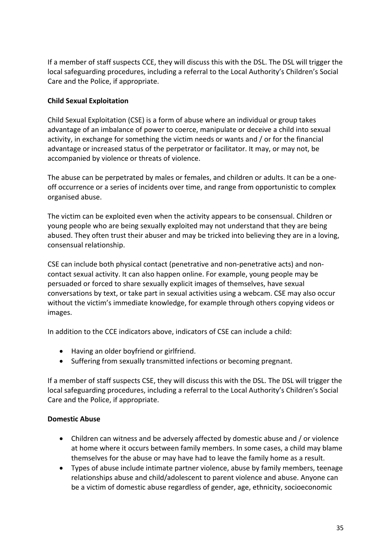If a member of staff suspects CCE, they will discuss this with the DSL. The DSL will trigger the local safeguarding procedures, including a referral to the Local Authority's Children's Social Care and the Police, if appropriate.

## **Child Sexual Exploitation**

Child Sexual Exploitation (CSE) is a form of abuse where an individual or group takes advantage of an imbalance of power to coerce, manipulate or deceive a child into sexual activity, in exchange for something the victim needs or wants and / or for the financial advantage or increased status of the perpetrator or facilitator. It may, or may not, be accompanied by violence or threats of violence.

The abuse can be perpetrated by males or females, and children or adults. It can be a oneoff occurrence or a series of incidents over time, and range from opportunistic to complex organised abuse.

The victim can be exploited even when the activity appears to be consensual. Children or young people who are being sexually exploited may not understand that they are being abused. They often trust their abuser and may be tricked into believing they are in a loving, consensual relationship.

CSE can include both physical contact (penetrative and non-penetrative acts) and noncontact sexual activity. It can also happen online. For example, young people may be persuaded or forced to share sexually explicit images of themselves, have sexual conversations by text, or take part in sexual activities using a webcam. CSE may also occur without the victim's immediate knowledge, for example through others copying videos or images.

In addition to the CCE indicators above, indicators of CSE can include a child:

- Having an older boyfriend or girlfriend.
- Suffering from sexually transmitted infections or becoming pregnant.

If a member of staff suspects CSE, they will discuss this with the DSL. The DSL will trigger the local safeguarding procedures, including a referral to the Local Authority's Children's Social Care and the Police, if appropriate.

## **Domestic Abuse**

- Children can witness and be adversely affected by domestic abuse and / or violence at home where it occurs between family members. In some cases, a child may blame themselves for the abuse or may have had to leave the family home as a result.
- Types of abuse include intimate partner violence, abuse by family members, teenage relationships abuse and child/adolescent to parent violence and abuse. Anyone can be a victim of domestic abuse regardless of gender, age, ethnicity, socioeconomic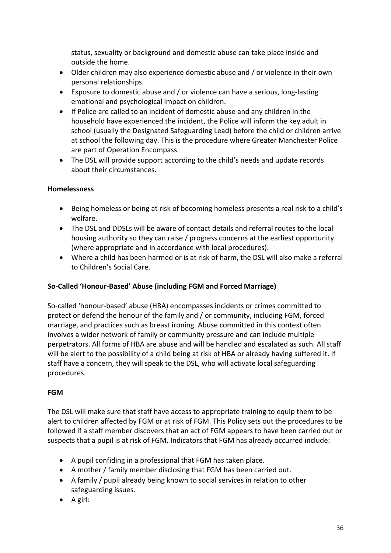status, sexuality or background and domestic abuse can take place inside and outside the home.

- Older children may also experience domestic abuse and / or violence in their own personal relationships.
- Exposure to domestic abuse and / or violence can have a serious, long-lasting emotional and psychological impact on children.
- If Police are called to an incident of domestic abuse and any children in the household have experienced the incident, the Police will inform the key adult in school (usually the Designated Safeguarding Lead) before the child or children arrive at school the following day. This is the procedure where Greater Manchester Police are part of Operation Encompass.
- The DSL will provide support according to the child's needs and update records about their circumstances.

## **Homelessness**

- Being homeless or being at risk of becoming homeless presents a real risk to a child's welfare.
- The DSL and DDSLs will be aware of contact details and referral routes to the local housing authority so they can raise / progress concerns at the earliest opportunity (where appropriate and in accordance with local procedures).
- Where a child has been harmed or is at risk of harm, the DSL will also make a referral to Children's Social Care.

## **So-Called 'Honour-Based' Abuse (including FGM and Forced Marriage)**

So-called 'honour-based' abuse (HBA) encompasses incidents or crimes committed to protect or defend the honour of the family and / or community, including FGM, forced marriage, and practices such as breast ironing. Abuse committed in this context often involves a wider network of family or community pressure and can include multiple perpetrators. All forms of HBA are abuse and will be handled and escalated as such. All staff will be alert to the possibility of a child being at risk of HBA or already having suffered it. If staff have a concern, they will speak to the DSL, who will activate local safeguarding procedures.

## **FGM**

The DSL will make sure that staff have access to appropriate training to equip them to be alert to children affected by FGM or at risk of FGM. This Policy sets out the procedures to be followed if a staff member discovers that an act of FGM appears to have been carried out or suspects that a pupil is at risk of FGM. Indicators that FGM has already occurred include:

- A pupil confiding in a professional that FGM has taken place.
- A mother / family member disclosing that FGM has been carried out.
- A family / pupil already being known to social services in relation to other safeguarding issues.
- A girl: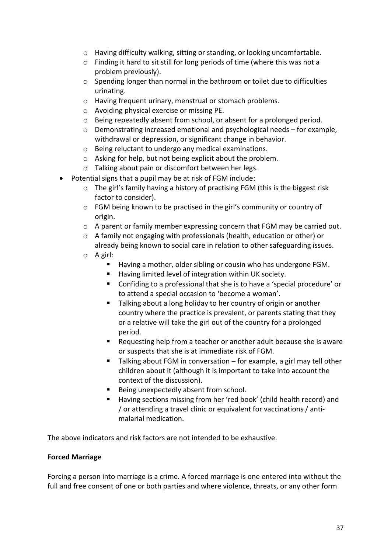- o Having difficulty walking, sitting or standing, or looking uncomfortable.
- o Finding it hard to sit still for long periods of time (where this was not a problem previously).
- o Spending longer than normal in the bathroom or toilet due to difficulties urinating.
- o Having frequent urinary, menstrual or stomach problems.
- o Avoiding physical exercise or missing PE.
- o Being repeatedly absent from school, or absent for a prolonged period.
- o Demonstrating increased emotional and psychological needs for example, withdrawal or depression, or significant change in behavior.
- o Being reluctant to undergo any medical examinations.
- o Asking for help, but not being explicit about the problem.
- o Talking about pain or discomfort between her legs.
- Potential signs that a pupil may be at risk of FGM include:
	- o The girl's family having a history of practising FGM (this is the biggest risk factor to consider).
	- o FGM being known to be practised in the girl's community or country of origin.
	- $\circ$  A parent or family member expressing concern that FGM may be carried out.
	- o A family not engaging with professionals (health, education or other) or already being known to social care in relation to other safeguarding issues.
	- o A girl:
		- Having a mother, older sibling or cousin who has undergone FGM.
		- Having limited level of integration within UK society.
		- Confiding to a professional that she is to have a 'special procedure' or to attend a special occasion to 'become a woman'.
		- Talking about a long holiday to her country of origin or another country where the practice is prevalent, or parents stating that they or a relative will take the girl out of the country for a prolonged period.
		- Requesting help from a teacher or another adult because she is aware or suspects that she is at immediate risk of FGM.
		- Talking about FGM in conversation for example, a girl may tell other children about it (although it is important to take into account the context of the discussion).
		- Being unexpectedly absent from school.
		- § Having sections missing from her 'red book' (child health record) and / or attending a travel clinic or equivalent for vaccinations / antimalarial medication.

The above indicators and risk factors are not intended to be exhaustive.

#### **Forced Marriage**

Forcing a person into marriage is a crime. A forced marriage is one entered into without the full and free consent of one or both parties and where violence, threats, or any other form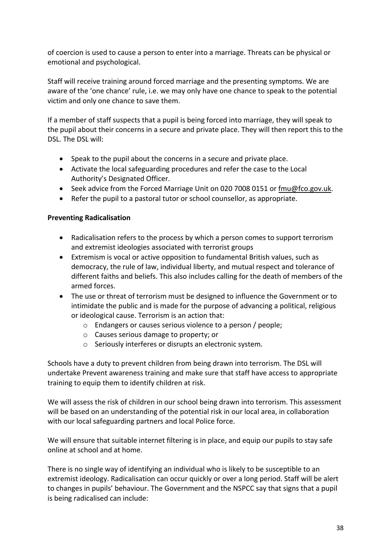of coercion is used to cause a person to enter into a marriage. Threats can be physical or emotional and psychological.

Staff will receive training around forced marriage and the presenting symptoms. We are aware of the 'one chance' rule, i.e. we may only have one chance to speak to the potential victim and only one chance to save them.

If a member of staff suspects that a pupil is being forced into marriage, they will speak to the pupil about their concerns in a secure and private place. They will then report this to the DSL. The DSL will:

- Speak to the pupil about the concerns in a secure and private place.
- Activate the local safeguarding procedures and refer the case to the Local Authority's Designated Officer.
- Seek advice from the Forced Marriage Unit on 020 7008 0151 or fmu@fco.gov.uk.
- Refer the pupil to a pastoral tutor or school counsellor, as appropriate.

#### **Preventing Radicalisation**

- Radicalisation refers to the process by which a person comes to support terrorism and extremist ideologies associated with terrorist groups
- Extremism is vocal or active opposition to fundamental British values, such as democracy, the rule of law, individual liberty, and mutual respect and tolerance of different faiths and beliefs. This also includes calling for the death of members of the armed forces.
- The use or threat of terrorism must be designed to influence the Government or to intimidate the public and is made for the purpose of advancing a political, religious or ideological cause. Terrorism is an action that:
	- o Endangers or causes serious violence to a person / people;
	- o Causes serious damage to property; or
	- o Seriously interferes or disrupts an electronic system.

Schools have a duty to prevent children from being drawn into terrorism. The DSL will undertake Prevent awareness training and make sure that staff have access to appropriate training to equip them to identify children at risk.

We will assess the risk of children in our school being drawn into terrorism. This assessment will be based on an understanding of the potential risk in our local area, in collaboration with our local safeguarding partners and local Police force.

We will ensure that suitable internet filtering is in place, and equip our pupils to stay safe online at school and at home.

There is no single way of identifying an individual who is likely to be susceptible to an extremist ideology. Radicalisation can occur quickly or over a long period. Staff will be alert to changes in pupils' behaviour. The Government and the NSPCC say that signs that a pupil is being radicalised can include: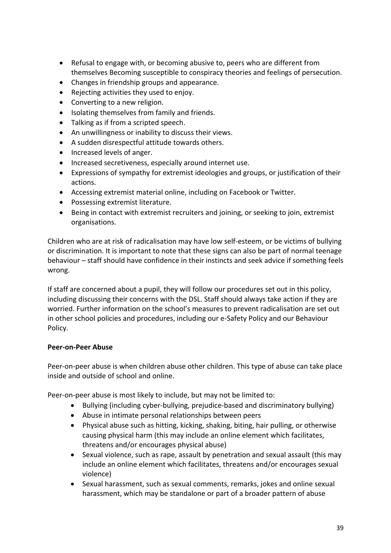- Refusal to engage with, or becoming abusive to, peers who are different from themselves Becoming susceptible to conspiracy theories and feelings of persecution.
- Changes in friendship groups and appearance.
- Rejecting activities they used to enjoy.
- Converting to a new religion.
- Isolating themselves from family and friends.
- Talking as if from a scripted speech.
- An unwillingness or inability to discuss their views.
- A sudden disrespectful attitude towards others.
- Increased levels of anger.
- Increased secretiveness, especially around internet use.
- Expressions of sympathy for extremist ideologies and groups, or justification of their actions.
- Accessing extremist material online, including on Facebook or Twitter.
- Possessing extremist literature.
- Being in contact with extremist recruiters and joining, or seeking to join, extremist organisations.

Children who are at risk of radicalisation may have low self-esteem, or be victims of bullying or discrimination. It is important to note that these signs can also be part of normal teenage behaviour – staff should have confidence in their instincts and seek advice if something feels wrong.

If staff are concerned about a pupil, they will follow our procedures set out in this policy, including discussing their concerns with the DSL. Staff should always take action if they are worried. Further information on the school's measures to prevent radicalisation are set out in other school policies and procedures, including our e-Safety Policy and our Behaviour Policy.

## **Peer-on-Peer Abuse**

Peer-on-peer abuse is when children abuse other children. This type of abuse can take place inside and outside of school and online.

Peer-on-peer abuse is most likely to include, but may not be limited to:

- Bullying (including cyber-bullying, prejudice-based and discriminatory bullying)
- Abuse in intimate personal relationships between peers
- Physical abuse such as hitting, kicking, shaking, biting, hair pulling, or otherwise causing physical harm (this may include an online element which facilitates, threatens and/or encourages physical abuse)
- Sexual violence, such as rape, assault by penetration and sexual assault (this may include an online element which facilitates, threatens and/or encourages sexual violence)
- Sexual harassment, such as sexual comments, remarks, jokes and online sexual harassment, which may be standalone or part of a broader pattern of abuse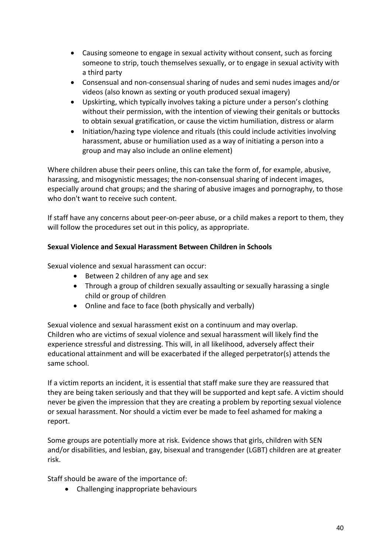- Causing someone to engage in sexual activity without consent, such as forcing someone to strip, touch themselves sexually, or to engage in sexual activity with a third party
- Consensual and non-consensual sharing of nudes and semi nudes images and/or videos (also known as sexting or youth produced sexual imagery)
- Upskirting, which typically involves taking a picture under a person's clothing without their permission, with the intention of viewing their genitals or buttocks to obtain sexual gratification, or cause the victim humiliation, distress or alarm
- Initiation/hazing type violence and rituals (this could include activities involving harassment, abuse or humiliation used as a way of initiating a person into a group and may also include an online element)

Where children abuse their peers online, this can take the form of, for example, abusive, harassing, and misogynistic messages; the non-consensual sharing of indecent images, especially around chat groups; and the sharing of abusive images and pornography, to those who don't want to receive such content.

If staff have any concerns about peer-on-peer abuse, or a child makes a report to them, they will follow the procedures set out in this policy, as appropriate.

## **Sexual Violence and Sexual Harassment Between Children in Schools**

Sexual violence and sexual harassment can occur:

- Between 2 children of any age and sex
- Through a group of children sexually assaulting or sexually harassing a single child or group of children
- Online and face to face (both physically and verbally)

Sexual violence and sexual harassment exist on a continuum and may overlap. Children who are victims of sexual violence and sexual harassment will likely find the experience stressful and distressing. This will, in all likelihood, adversely affect their educational attainment and will be exacerbated if the alleged perpetrator(s) attends the same school.

If a victim reports an incident, it is essential that staff make sure they are reassured that they are being taken seriously and that they will be supported and kept safe. A victim should never be given the impression that they are creating a problem by reporting sexual violence or sexual harassment. Nor should a victim ever be made to feel ashamed for making a report.

Some groups are potentially more at risk. Evidence shows that girls, children with SEN and/or disabilities, and lesbian, gay, bisexual and transgender (LGBT) children are at greater risk.

Staff should be aware of the importance of:

• Challenging inappropriate behaviours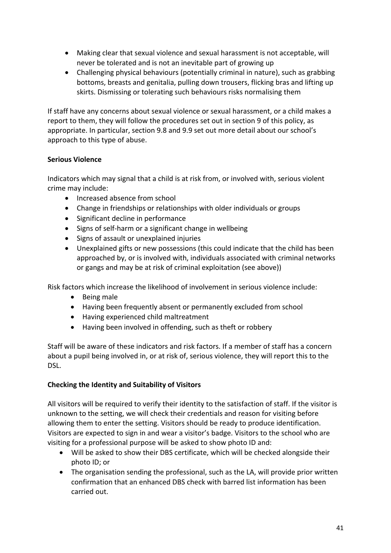- Making clear that sexual violence and sexual harassment is not acceptable, will never be tolerated and is not an inevitable part of growing up
- Challenging physical behaviours (potentially criminal in nature), such as grabbing bottoms, breasts and genitalia, pulling down trousers, flicking bras and lifting up skirts. Dismissing or tolerating such behaviours risks normalising them

If staff have any concerns about sexual violence or sexual harassment, or a child makes a report to them, they will follow the procedures set out in section 9 of this policy, as appropriate. In particular, section 9.8 and 9.9 set out more detail about our school's approach to this type of abuse.

## **Serious Violence**

Indicators which may signal that a child is at risk from, or involved with, serious violent crime may include:

- Increased absence from school
- Change in friendships or relationships with older individuals or groups
- Significant decline in performance
- Signs of self-harm or a significant change in wellbeing
- Signs of assault or unexplained injuries
- Unexplained gifts or new possessions (this could indicate that the child has been approached by, or is involved with, individuals associated with criminal networks or gangs and may be at risk of criminal exploitation (see above))

Risk factors which increase the likelihood of involvement in serious violence include:

- Being male
- Having been frequently absent or permanently excluded from school
- Having experienced child maltreatment
- Having been involved in offending, such as theft or robbery

Staff will be aware of these indicators and risk factors. If a member of staff has a concern about a pupil being involved in, or at risk of, serious violence, they will report this to the DSL.

## **Checking the Identity and Suitability of Visitors**

All visitors will be required to verify their identity to the satisfaction of staff. If the visitor is unknown to the setting, we will check their credentials and reason for visiting before allowing them to enter the setting. Visitors should be ready to produce identification. Visitors are expected to sign in and wear a visitor's badge. Visitors to the school who are visiting for a professional purpose will be asked to show photo ID and:

- Will be asked to show their DBS certificate, which will be checked alongside their photo ID; or
- The organisation sending the professional, such as the LA, will provide prior written confirmation that an enhanced DBS check with barred list information has been carried out.